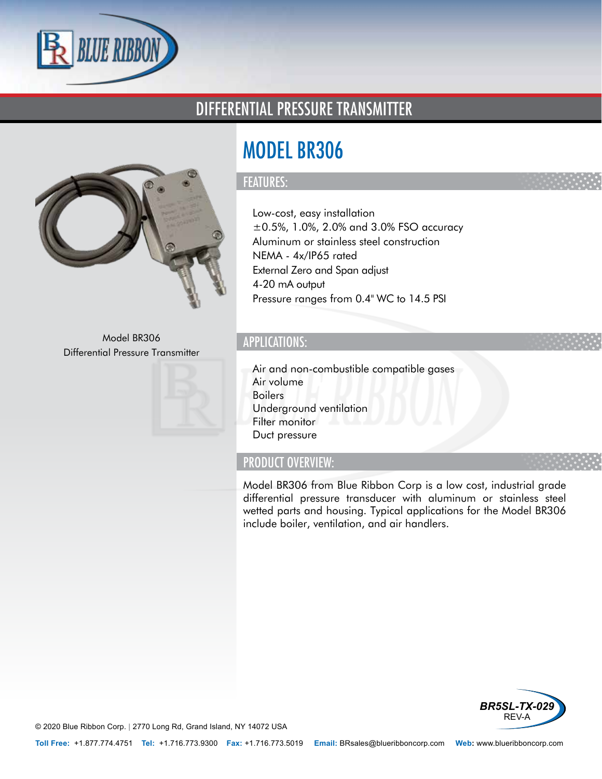

### DIFFERENTIAL PRESSURE TRANSMITTER



Model BR306 Differential Pressure Transmitter



# MODEL BR306

#### FEATURES:

- Low-cost, easy installation
- $\cdot$  ±0.5%, 1.0%, 2.0% and 3.0% FSO accuracy
- Aluminum or stainless steel construction
- NEMA 4x/IP65 rated
- External Zero and Span adjust
- 4-20 mA output
- Pressure ranges from 0.4" WC to 14.5 PSI

#### APPLICATIONS:

- Air and non-combustible compatible gases
- Air volume
- Boilers
- Underground ventilation
- Filter monitor
- Duct pressure

#### PRODUCT OVERVIEW:

Model BR306 from Blue Ribbon Corp is a low cost, industrial grade differential pressure transducer with aluminum or stainless steel wetted parts and housing. Typical applications for the Model BR306 include boiler, ventilation, and air handlers.



© 2020 Blue Ribbon Corp. *<sup>|</sup>* 2770 Long Rd, Grand Island, NY 14072 USA